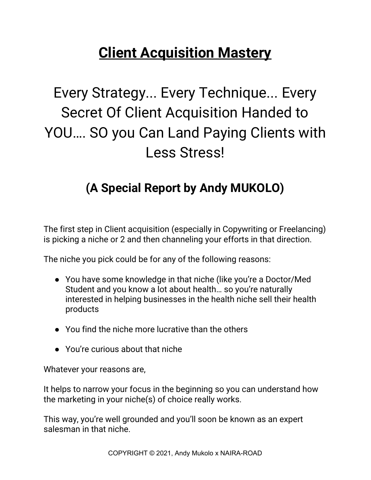## **Client Acquisition Mastery**

Every Strategy... Every Technique... Every Secret Of Client Acquisition Handed to YOU…. SO you Can Land Paying Clients with Less Stress!

### **(A Special Report by Andy MUKOLO)**

The first step in Client acquisition (especially in Copywriting or Freelancing) is picking a niche or 2 and then channeling your efforts in that direction.

The niche you pick could be for any of the following reasons:

- You have some knowledge in that niche (like you're a Doctor/Med Student and you know a lot about health… so you're naturally interested in helping businesses in the health niche sell their health products
- You find the niche more lucrative than the others
- You're curious about that niche

Whatever your reasons are,

It helps to narrow your focus in the beginning so you can understand how the marketing in your niche(s) of choice really works.

This way, you're well grounded and you'll soon be known as an expert salesman in that niche.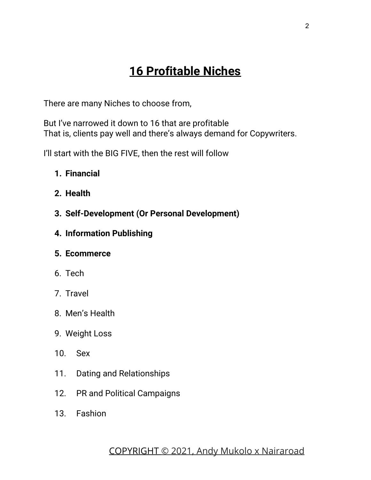### **16 Profitable Niches**

There are many Niches to choose from,

But I've narrowed it down to 16 that are profitable That is, clients pay well and there's always demand for Copywriters.

I'll start with the BIG FIVE, then the rest will follow

- **1. Financial**
- **2. Health**
- **3. Self-Development (Or Personal Development)**
- **4. Information Publishing**

#### **5. Ecommerce**

- 6. Tech
- 7. Travel
- 8. Men's Health
- 9. Weight Loss
- 10. Sex
- 11. Dating and Relationships
- 12. PR and Political Campaigns
- 13. Fashion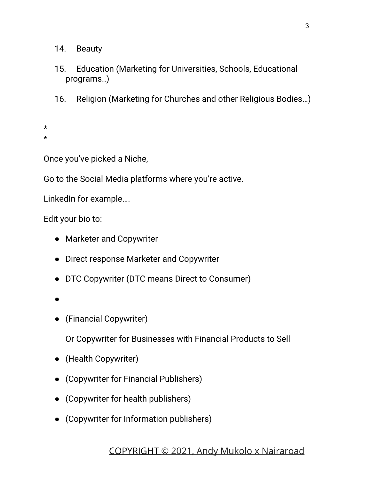14. Beauty

- 15. Education (Marketing for Universities, Schools, Educational programs..)
- 16. Religion (Marketing for Churches and other Religious Bodies…)
- \* \*

Once you've picked a Niche,

Go to the Social Media platforms where you're active.

LinkedIn for example….

Edit your bio to:

- Marketer and Copywriter
- Direct response Marketer and Copywriter
- DTC Copywriter (DTC means Direct to Consumer)
- ●
- (Financial Copywriter)

Or Copywriter for Businesses with Financial Products to Sell

- (Health Copywriter)
- (Copywriter for Financial Publishers)
- (Copywriter for health publishers)
- (Copywriter for Information publishers)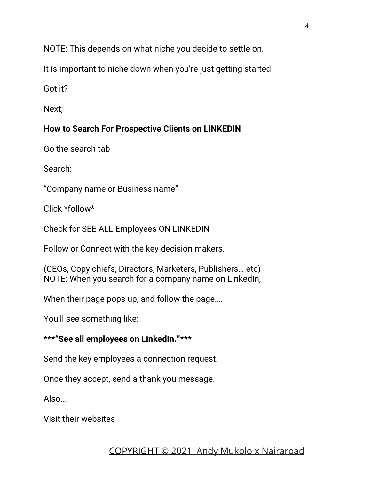NOTE: This depends on what niche you decide to settle on.

It is important to niche down when you're just getting started.

Got it?

Next;

#### **How to Search For Prospective Clients on LINKEDIN**

Go the search tab

Search:

"Company name or Business name"

Click \*follow\*

Check for SEE ALL Employees ON LINKEDIN

Follow or Connect with the key decision makers.

(CEOs, Copy chiefs, Directors, Marketers, Publishers… etc) NOTE: When you search for a company name on LinkedIn,

When their page pops up, and follow the page....

You'll see something like:

#### **\*\*\*"See all employees on LinkedIn."\*\*\***

Send the key employees a connection request.

Once they accept, send a thank you message.

Also….

Visit their websites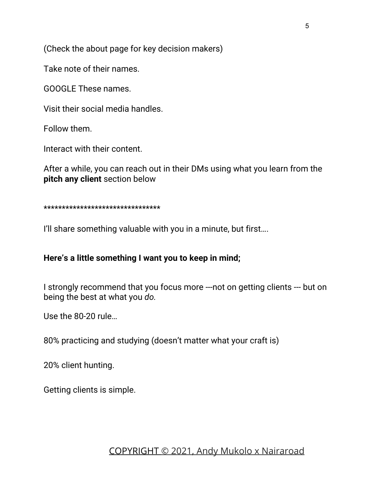(Check the about page for key decision makers)

Take note of their names.

GOOGLE These names.

Visit their social media handles.

Follow them.

Interact with their content.

After a while, you can reach out in their DMs using what you learn from the **pitch any client** section below

\*\*\*\*\*\*\*\*\*\*\*\*\*\*\*\*\*\*\*\*\*\*\*\*\*\*\*\*\*\*\*\*

I'll share something valuable with you in a minute, but first....

#### **Here's a little something I want you to keep in mind;**

I strongly recommend that you focus more ---not on getting clients --- but on being the best at what you *do.*

Use the 80-20 rule…

80% practicing and studying (doesn't matter what your craft is)

20% client hunting.

Getting clients is simple.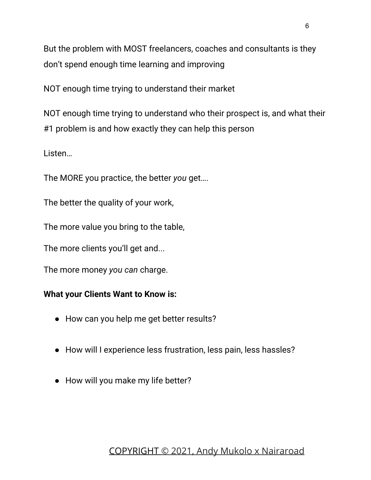But the problem with MOST freelancers, coaches and consultants is they don't spend enough time learning and improving

NOT enough time trying to understand their market

NOT enough time trying to understand who their prospect is, and what their #1 problem is and how exactly they can help this person

Listen…

The MORE you practice, the better *you* get….

The better the quality of your work,

The more value you bring to the table,

The more clients you'll get and...

The more money *you can* charge.

#### **What your Clients Want to Know is:**

- How can you help me get better results?
- How will I experience less frustration, less pain, less hassles?
- How will you make my life better?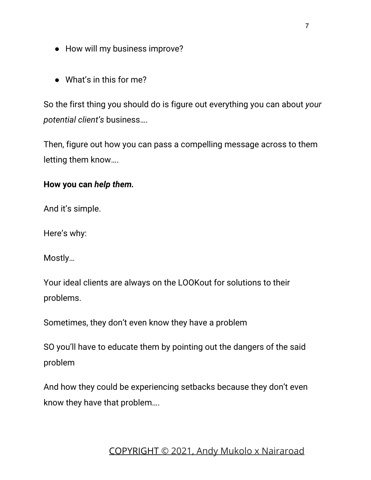- How will my business improve?
- What's in this for me?

So the first thing you should do is figure out everything you can about *your potential client's* business….

Then, figure out how you can pass a compelling message across to them letting them know….

#### **How you can** *help them.*

And it's simple.

Here's why:

Mostly…

Your ideal clients are always on the LOOKout for solutions to their problems.

Sometimes, they don't even know they have a problem

SO you'll have to educate them by pointing out the dangers of the said problem

And how they could be experiencing setbacks because they don't even know they have that problem….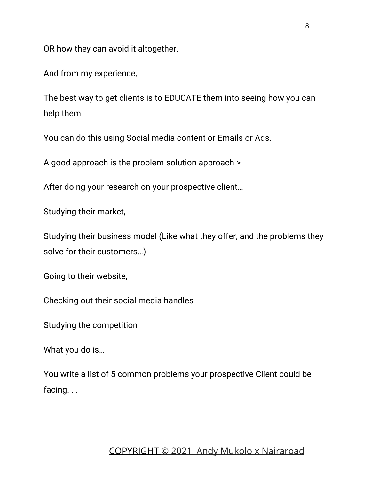OR how they can avoid it altogether.

And from my experience,

The best way to get clients is to EDUCATE them into seeing how you can help them

You can do this using Social media content or Emails or Ads.

A good approach is the problem-solution approach >

After doing your research on your prospective client…

Studying their market,

Studying their business model (Like what they offer, and the problems they solve for their customers…)

Going to their website,

Checking out their social media handles

Studying the competition

What you do is…

You write a list of 5 common problems your prospective Client could be facing. . .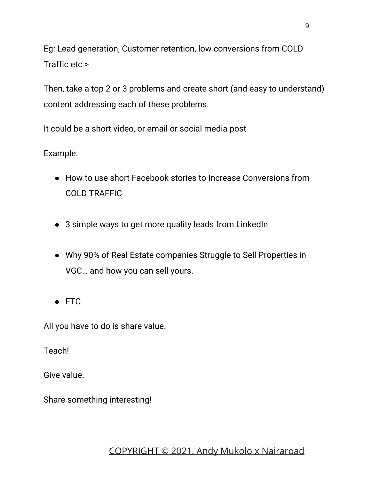Eg: Lead generation, Customer retention, low conversions from COLD Traffic etc >

Then, take a top 2 or 3 problems and create short (and easy to understand) content addressing each of these problems.

It could be a short video, or email or social media post

#### Example:

- How to use short Facebook stories to Increase Conversions from COLD TRAFFIC
- 3 simple ways to get more quality leads from LinkedIn
- Why 90% of Real Estate companies Struggle to Sell Properties in VGC… and how you can sell yours.
- ETC

All you have to do is share value.

Teach!

Give value.

Share something interesting!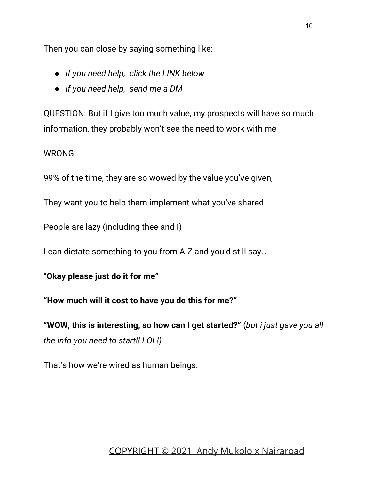Then you can close by saying something like:

- *● If you need help, click the LINK below*
- *● If you need help, send me a DM*

QUESTION: But if I give too much value, my prospects will have so much information, they probably won't see the need to work with me

#### WRONG!

99% of the time, they are so wowed by the value you've given,

They want you to help them implement what you've shared

People are lazy (including thee and I)

I can dictate something to you from A-Z and you'd still say…

"**Okay please just do it for me"**

**"How much will it cost to have you do this for me?"**

**"WOW, this is interesting, so how can I get started?"** (*but i just gave you all the info you need to start!! LOL!)*

That's how we're wired as human beings.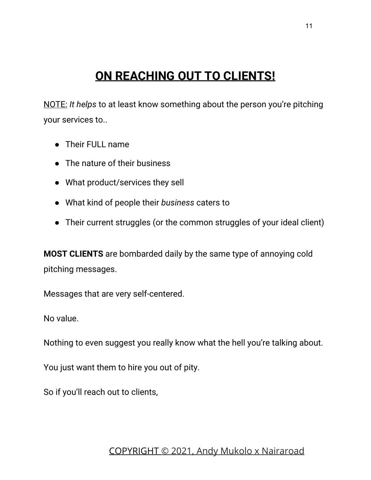### **ON REACHING OUT TO CLIENTS!**

NOTE: *It helps* to at least know something about the person you're pitching your services to..

- Their FULL name
- The nature of their business
- What product/services they sell
- What kind of people their *business* caters to
- Their current struggles (or the common struggles of your ideal client)

**MOST CLIENTS** are bombarded daily by the same type of annoying cold pitching messages.

Messages that are very self-centered.

No value.

Nothing to even suggest you really know what the hell you're talking about.

You just want them to hire you out of pity.

So if you'll reach out to clients,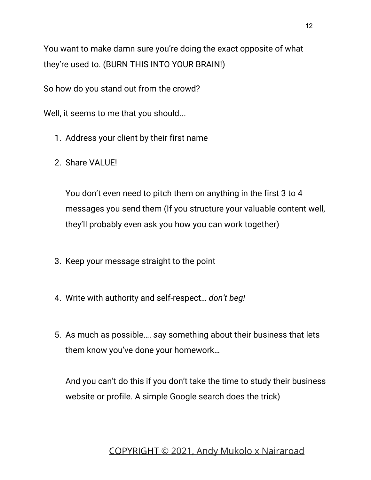You want to make damn sure you're doing the exact opposite of what they're used to. (BURN THIS INTO YOUR BRAIN!)

So how do you stand out from the crowd?

Well, it seems to me that you should...

- 1. Address your client by their first name
- 2. Share VALUE!

You don't even need to pitch them on anything in the first 3 to 4 messages you send them (If you structure your valuable content well, they'll probably even ask you how you can work together)

- 3. Keep your message straight to the point
- 4. Write with authority and self-respect… *don't beg!*
- 5. As much as possible…. *s*ay something about their business that lets them know you've done your homework…

And you can't do this if you don't take the time to study their business website or profile. A simple Google search does the trick)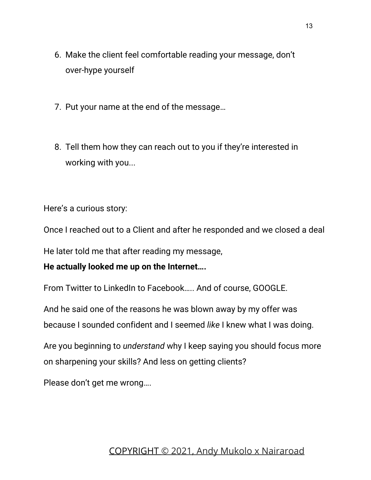- 6. Make the client feel comfortable reading your message, don't over-hype yourself
- 7. Put your name at the end of the message…
- 8. Tell them how they can reach out to you if they're interested in working with you...

Here's a curious story:

Once I reached out to a Client and after he responded and we closed a deal

He later told me that after reading my message,

#### **He actually looked me up on the Internet….**

From Twitter to LinkedIn to Facebook….. And of course, GOOGLE.

And he said one of the reasons he was blown away by my offer was because I sounded confident and I seemed *like* I knew what I was doing.

Are you beginning to *understand* why I keep saying you should focus more on sharpening your skills? And less on getting clients?

Please don't get me wrong….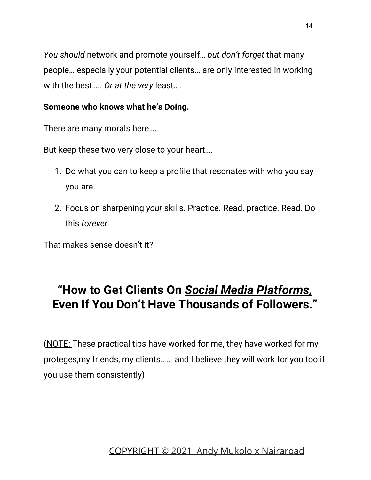*You should* network and promote yourself… *but don't forget* that many people… especially your potential clients… are only interested in working with the best….. *Or at the very* least….

#### **Someone who knows what he's Doing.**

There are many morals here….

But keep these two very close to your heart….

- 1. Do what you can to keep a profile that resonates with who you say you are.
- 2. Focus on sharpening *your* skills. Practice. Read. practice. Read. Do this *forever.*

That makes sense doesn't it?

### **"How to Get Clients On** *Social Media Platforms,* **Even If You Don't Have Thousands of Followers."**

(NOTE: These practical tips have worked for me, they have worked for my proteges,my friends, my clients….. and I believe they will work for you too if you use them consistently)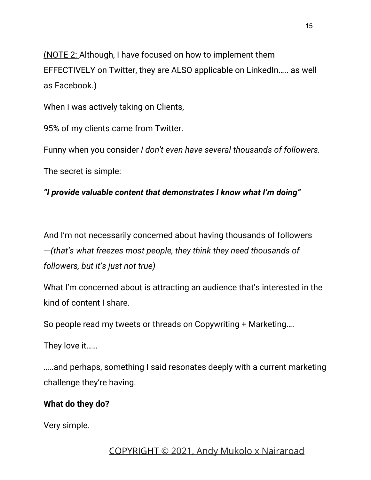(NOTE 2: Although, I have focused on how to implement them EFFECTIVELY on Twitter, they are ALSO applicable on LinkedIn….. as well as Facebook.)

When I was actively taking on Clients,

95% of my clients came from Twitter.

Funny when you consider *I don't even have several thousands of followers.*

The secret is simple:

#### *"I provide valuable content that demonstrates I know what I'm doing"*

And I'm not necessarily concerned about having thousands of followers ---*(that's what freezes most people, they think they need thousands of followers, but it's just not true)*

What I'm concerned about is attracting an audience that's interested in the kind of content I share.

So people read my tweets or threads on Copywriting + Marketing….

They love it……

…..and perhaps, something I said resonates deeply with a current marketing challenge they're having.

#### **What do they do?**

Very simple.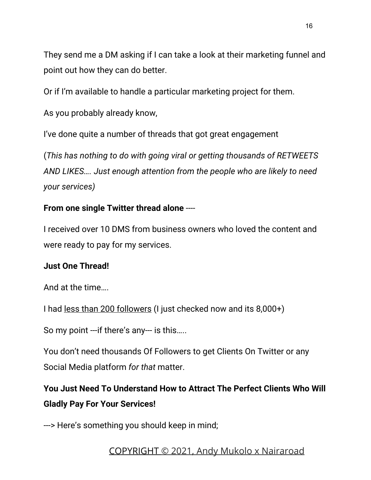They send me a DM asking if I can take a look at their marketing funnel and point out how they can do better.

Or if I'm available to handle a particular marketing project for them.

As you probably already know,

I've done quite a number of threads that got great engagement

(*This has nothing to do with going viral or getting thousands of RETWEETS AND LIKES…. Just enough attention from the people who are likely to need your services)*

#### **From one single Twitter thread alone** ----

I received over 10 DMS from business owners who loved the content and were ready to pay for my services.

#### **Just One Thread!**

And at the time….

I had less than 200 followers (I just checked now and its 8,000+)

So my point ---if there's any--- is this…..

You don't need thousands Of Followers to get Clients On Twitter or any Social Media platform *for that* matter.

**You Just Need To Understand How to Attract The Perfect Clients Who Will Gladly Pay For Your Services!**

---> Here's something you should keep in mind;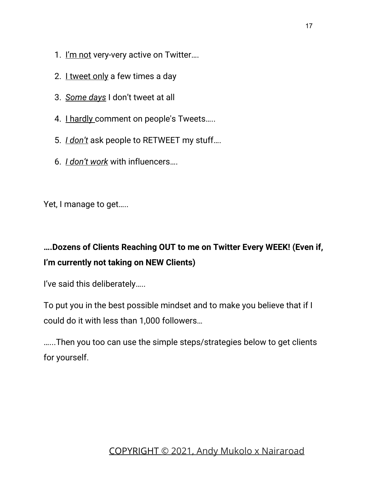- 1. I'm not very-very active on Twitter....
- 2. I tweet only a few times a day
- 3. *Some days* I don't tweet at all
- 4. I hardly comment on people's Tweets.....
- 5. *I don't* ask people to RETWEET my stuff….
- 6. *I don't work* with influencers….

Yet, I manage to get…..

### **….Dozens of Clients Reaching OUT to me on Twitter Every WEEK! (Even if, I'm currently not taking on NEW Clients)**

I've said this deliberately…..

To put you in the best possible mindset and to make you believe that if I could do it with less than 1,000 followers…

…...Then you too can use the simple steps/strategies below to get clients for yourself.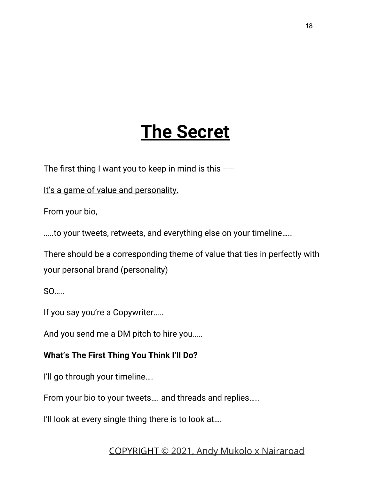# **The Secret**

The first thing I want you to keep in mind is this -----

It's a game of value and personality.

From your bio,

…..to your tweets, retweets, and everything else on your timeline…..

There should be a corresponding theme of value that ties in perfectly with your personal brand (personality)

 $SO<sub>2</sub>$ 

If you say you're a Copywriter…..

And you send me a DM pitch to hire you…..

#### **What's The First Thing You Think I'll Do?**

I'll go through your timeline….

From your bio to your tweets…. and threads and replies…..

I'll look at every single thing there is to look at....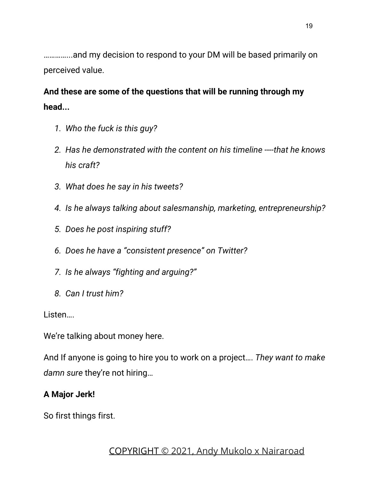…………...and my decision to respond to your DM will be based primarily on perceived value.

**And these are some of the questions that will be running through my head...**

- *1. Who the fuck is this guy?*
- *2. Has he demonstrated with the content on his timeline ----that he knows his craft?*
- *3. What does he say in his tweets?*
- *4. Is he always talking about salesmanship, marketing, entrepreneurship?*
- *5. Does he post inspiring stuff?*
- *6. Does he have a "consistent presence" on Twitter?*
- *7. Is he always "fighting and arguing?"*
- *8. Can I trust him?*

Listen….

We're talking about money here.

And If anyone is going to hire you to work on a project…. *They want to make damn sure* they're not hiring…

#### **A Major Jerk!**

So first things first.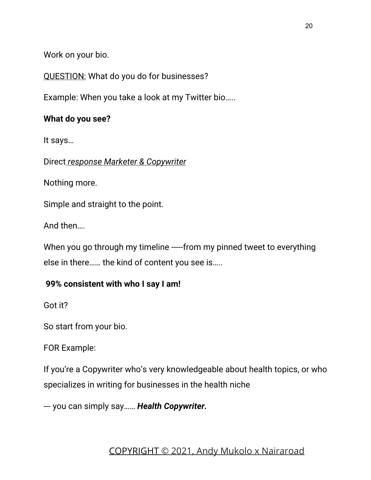Work on your bio.

QUESTION: What do you do for businesses?

Example: When you take a look at my Twitter bio…..

#### **What do you see?**

It says…

Direct *response Marketer & Copywriter*

Nothing more.

Simple and straight to the point.

And then….

When you go through my timeline -----from my pinned tweet to everything else in there…… the kind of content you see is…..

#### **99% consistent with who I say I am!**

Got it?

So start from your bio.

FOR Example:

If you're a Copywriter who's very knowledgeable about health topics, or who specializes in writing for businesses in the health niche

--- you can simply say…… *Health Copywriter.*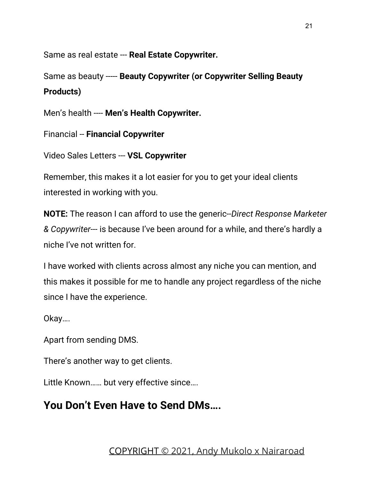Same as real estate --- **Real Estate Copywriter.**

Same as beauty ----- **Beauty Copywriter (or Copywriter Selling Beauty Products)**

Men's health ---- **Men's Health Copywriter.**

Financial -- **Financial Copywriter**

Video Sales Letters --- **VSL Copywriter**

Remember, this makes it a lot easier for you to get your ideal clients interested in working with you.

**NOTE:** The reason I can afford to use the generic--*Direct Response Marketer & Copywriter---* is because I've been around for a while, and there's hardly a niche I've not written for.

I have worked with clients across almost any niche you can mention, and this makes it possible for me to handle any project regardless of the niche since I have the experience.

Okay….

Apart from sending DMS.

There's another way to get clients.

Little Known…… but very effective since….

### **You Don't Even Have to Send DMs….**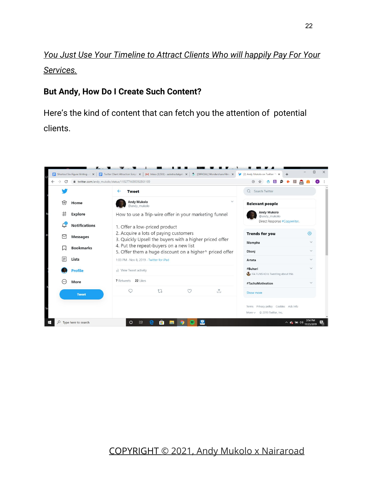*You Just Use Your Timeline to Attract Clients Who will happily Pay For Your Services.*

#### **But Andy, How Do I Create Such Content?**

Here's the kind of content that can fetch you the attention of potential clients.

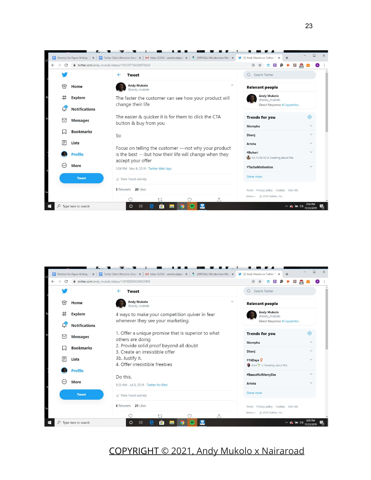

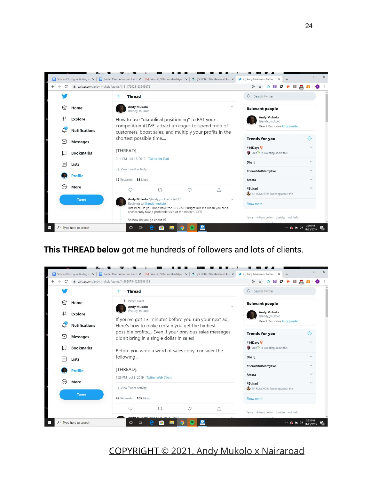

#### **This THREAD below** got me hundreds of followers and lots of clients.

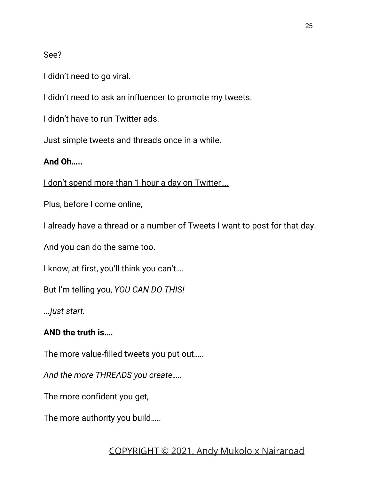#### See?

I didn't need to go viral.

I didn't need to ask an influencer to promote my tweets.

I didn't have to run Twitter ads.

Just simple tweets and threads once in a while.

#### **And Oh…..**

I don't spend more than 1-hour a day on Twitter....

Plus, before I come online,

I already have a thread or a number of Tweets I want to post for that day.

And you can do the same too.

I know, at first, you'll think you can't….

But I'm telling you, *YOU CAN DO THIS!*

*...just start.*

#### **AND the truth is….**

The more value-filled tweets you put out…..

*And the more THREADS you create…..*

The more confident you get,

The more authority you build…..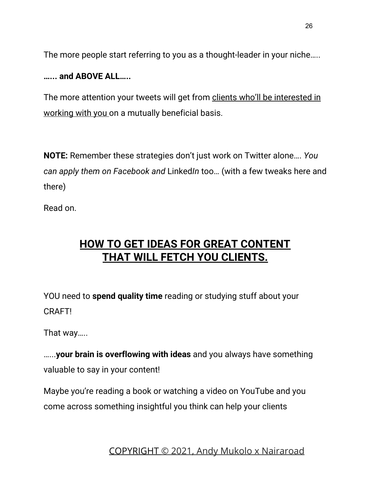The more people start referring to you as a thought-leader in your niche…..

#### **…... and ABOVE ALL…..**

The more attention your tweets will get from clients who'll be interested in working with you on a mutually beneficial basis.

**NOTE:** Remember these strategies don't just work on Twitter alone…. *You can apply them on Facebook and* Linked*In* too… (with a few tweaks here and there)

Read on.

### **HOW TO GET IDEAS FOR GREAT CONTENT THAT WILL FETCH YOU CLIENTS.**

YOU need to **spend quality time** reading or studying stuff about your CRAFT!

That way…..

…...**your brain is overflowing with ideas** and you always have something valuable to say in your content!

Maybe you're reading a book or watching a video on YouTube and you come across something insightful you think can help your clients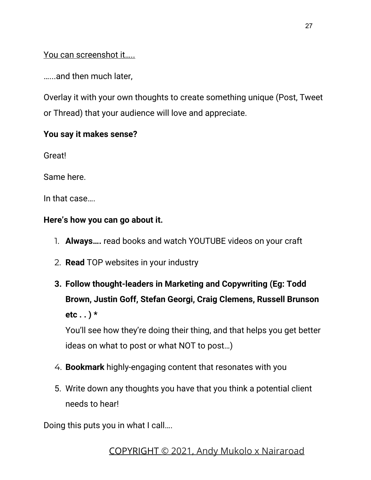You can screenshot it…..

…...and then much later,

Overlay it with your own thoughts to create something unique (Post, Tweet or Thread) that your audience will love and appreciate.

#### **You say it makes sense?**

Great!

Same here.

In that case….

#### **Here's how you can go about it.**

- 1. **Always….** read books and watch YOUTUBE videos on your craft
- 2. **Read** TOP websites in your industry
- **3. Follow thought-leaders in Marketing and Copywriting (Eg: Todd Brown, Justin Goff, Stefan Georgi, Craig Clemens, Russell Brunson etc . . ) \***

You'll see how they're doing their thing, and that helps you get better ideas on what to post or what NOT to post…)

- 4. **Bookmark** highly-engaging content that resonates with you
- 5. Write down any thoughts you have that you think a potential client needs to hear!

Doing this puts you in what I call….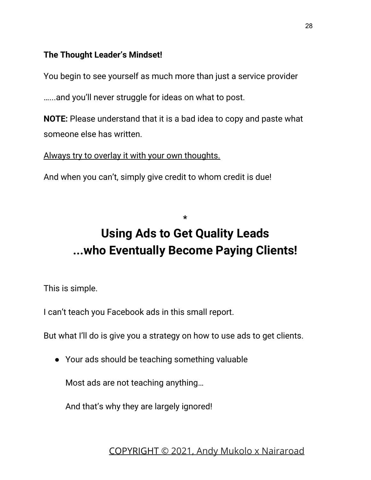#### **The Thought Leader's Mindset!**

You begin to see yourself as much more than just a service provider

…...and you'll never struggle for ideas on what to post.

**NOTE:** Please understand that it is a bad idea to copy and paste what someone else has written.

Always try to overlay it with your own thoughts.

And when you can't, simply give credit to whom credit is due!

# **Using Ads to Get Quality Leads ...who Eventually Become Paying Clients!**

**\***

This is simple.

I can't teach you Facebook ads in this small report.

But what I'll do is give you a strategy on how to use ads to get clients.

● Your ads should be teaching something valuable

Most ads are not teaching anything…

And that's why they are largely ignored!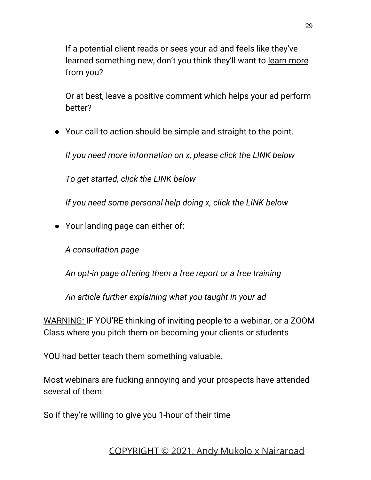If a potential client reads or sees your ad and feels like they've learned something new, don't you think they'll want to learn more from you?

Or at best, leave a positive comment which helps your ad perform better?

● Your call to action should be simple and straight to the point.

*If you need more information on x, please click the LINK below*

*To get started, click the LINK below*

*If you need some personal help doing x, click the LINK below*

*●* Your landing page can either of:

*A consultation page*

*An opt-in page offering them a free report or a free training*

*An article further explaining what you taught in your ad*

WARNING: IF YOU'RE thinking of inviting people to a webinar, or a ZOOM Class where you pitch them on becoming your clients or students

YOU had better teach them something valuable.

Most webinars are fucking annoying and your prospects have attended several of them.

So if they're willing to give you 1-hour of their time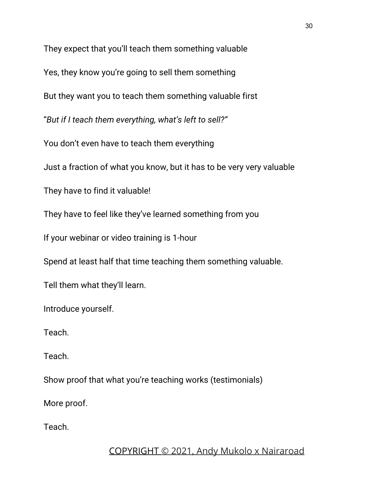They expect that you'll teach them something valuable Yes, they know you're going to sell them something But they want you to teach them something valuable first "*But if I teach them everything, what's left to sell?"* You don't even have to teach them everything Just a fraction of what you know, but it has to be very very valuable They have to find it valuable! They have to feel like they've learned something from you If your webinar or video training is 1-hour Spend at least half that time teaching them something valuable. Tell them what they'll learn. Introduce yourself. Teach. Teach. Show proof that what you're teaching works (testimonials)

More proof.

Teach.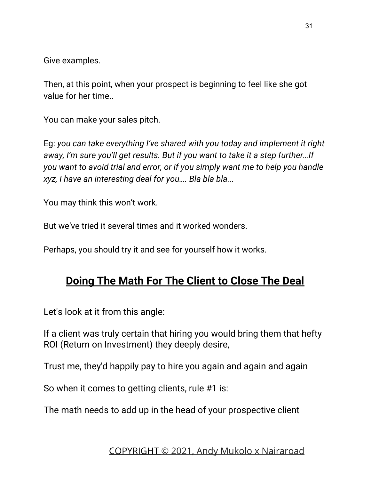Give examples.

Then, at this point, when your prospect is beginning to feel like she got value for her time..

You can make your sales pitch.

Eg: *you can take everything I've shared with you today and implement it right away, I'm sure you'll get results. But if you want to take it a step further…If you want to avoid trial and error, or if you simply want me to help you handle xyz, I have an interesting deal for you…. Bla bla bla...*

You may think this won't work.

But we've tried it several times and it worked wonders.

Perhaps, you should try it and see for yourself how it works.

### **Doing The Math For The Client to Close The Deal**

Let's look at it from this angle:

If a client was truly certain that hiring you would bring them that hefty ROI (Return on Investment) they deeply desire,

Trust me, they'd happily pay to hire you again and again and again

So when it comes to getting clients, rule #1 is:

The math needs to add up in the head of your prospective client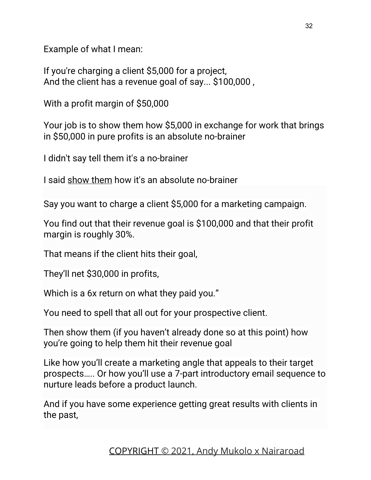Example of what I mean:

If you're charging a client \$5,000 for a project, And the client has a revenue goal of say... \$100,000 ,

With a profit margin of \$50,000

Your job is to show them how \$5,000 in exchange for work that brings in \$50,000 in pure profits is an absolute no-brainer

I didn't say tell them it's a no-brainer

I said show them how it's an absolute no-brainer

Say you want to charge a client \$5,000 for a marketing campaign.

You find out that their revenue goal is \$100,000 and that their profit margin is roughly 30%.

That means if the client hits their goal,

They'll net \$30,000 in profits,

Which is a 6x return on what they paid you."

You need to spell that all out for your prospective client.

Then show them (if you haven't already done so at this point) how you're going to help them hit their revenue goal

Like how you'll create a marketing angle that appeals to their target prospects….. Or how you'll use a 7-part introductory email sequence to nurture leads before a product launch.

And if you have some experience getting great results with clients in the past,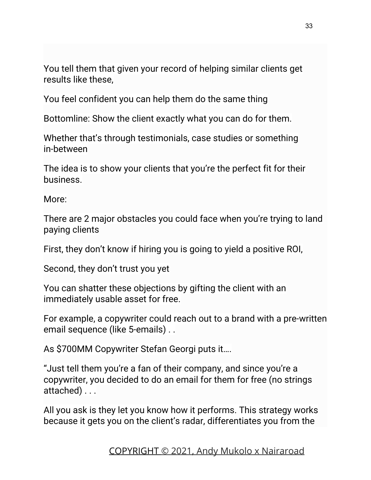You tell them that given your record of helping similar clients get results like these,

You feel confident you can help them do the same thing

Bottomline: Show the client exactly what you can do for them.

Whether that's through testimonials, case studies or something in-between

The idea is to show your clients that you're the perfect fit for their business.

More:

There are 2 major obstacles you could face when you're trying to land paying clients

First, they don't know if hiring you is going to yield a positive ROI,

Second, they don't trust you yet

You can shatter these objections by gifting the client with an immediately usable asset for free.

For example, a copywriter could reach out to a brand with a pre-written email sequence (like 5-emails) . .

As \$700MM Copywriter Stefan Georgi puts it….

"Just tell them you're a fan of their company, and since you're a copywriter, you decided to do an email for them for free (no strings attached) . . .

All you ask is they let you know how it performs. This strategy works because it gets you on the client's radar, differentiates you from the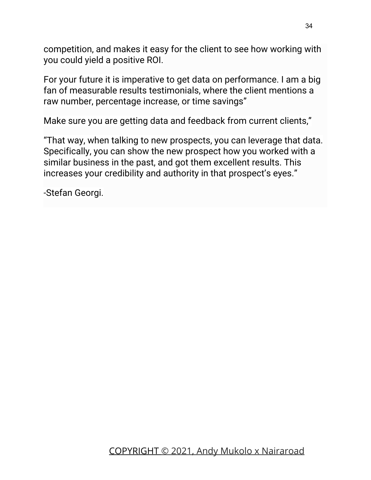competition, and makes it easy for the client to see how working with you could yield a positive ROI.

For your future it is imperative to get data on performance. I am a big fan of measurable results testimonials, where the client mentions a raw number, percentage increase, or time savings"

Make sure you are getting data and feedback from current clients,"

"That way, when talking to new prospects, you can leverage that data. Specifically, you can show the new prospect how you worked with a similar business in the past, and got them excellent results. This increases your credibility and authority in that prospect's eyes."

-Stefan Georgi.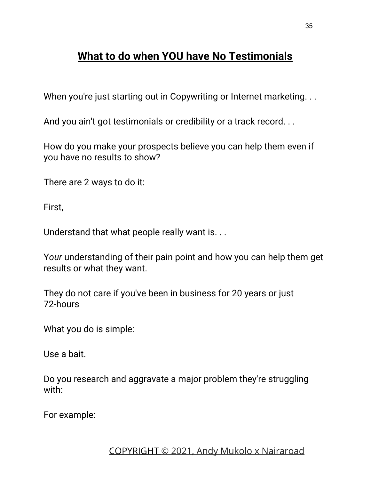### **What to do when YOU have No Testimonials**

When you're just starting out in Copywriting or Internet marketing. . .

And you ain't got testimonials or credibility or a track record. . .

How do you make your prospects believe you can help them even if you have no results to show?

There are 2 ways to do it:

First,

Understand that what people really want is. . .

Y*our* understanding of their pain point and how you can help them get results or what they want.

They do not care if you've been in business for 20 years or just 72-hours

What you do is simple:

Use a bait.

Do you research and aggravate a major problem they're struggling with:

For example: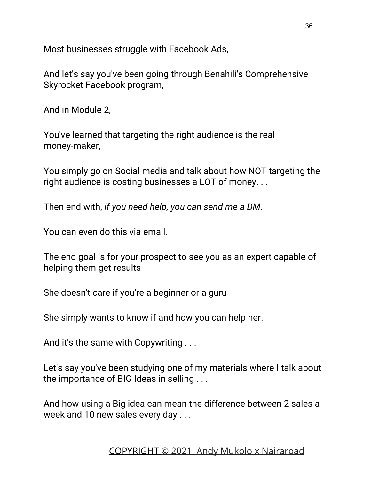Most businesses struggle with Facebook Ads,

And let's say you've been going through Benahili's Comprehensive Skyrocket Facebook program,

And in Module 2,

You've learned that targeting the right audience is the real money-maker,

You simply go on Social media and talk about how NOT targeting the right audience is costing businesses a LOT of money...

Then end with, *if you need help, you can send me a DM.*

You can even do this via email.

The end goal is for your prospect to see you as an expert capable of helping them get results

She doesn't care if you're a beginner or a guru

She simply wants to know if and how you can help her.

And it's the same with Copywriting . . .

Let's say you've been studying one of my materials where I talk about the importance of BIG Ideas in selling . . .

And how using a Big idea can mean the difference between 2 sales a week and 10 new sales every day . . .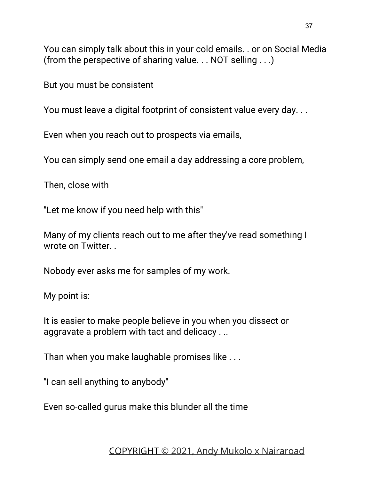You can simply talk about this in your cold emails. . or on Social Media (from the perspective of sharing value. . . NOT selling . . .)

But you must be consistent

You must leave a digital footprint of consistent value every day...

Even when you reach out to prospects via emails,

You can simply send one email a day addressing a core problem,

Then, close with

"Let me know if you need help with this"

Many of my clients reach out to me after they've read something I wrote on Twitter. .

Nobody ever asks me for samples of my work.

My point is:

It is easier to make people believe in you when you dissect or aggravate a problem with tact and delicacy . ..

Than when you make laughable promises like . . .

"I can sell anything to anybody"

Even so-called gurus make this blunder all the time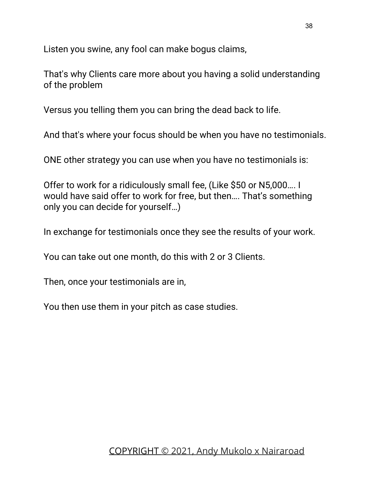Listen you swine, any fool can make bogus claims,

That's why Clients care more about you having a solid understanding of the problem

Versus you telling them you can bring the dead back to life.

And that's where your focus should be when you have no testimonials.

ONE other strategy you can use when you have no testimonials is:

Offer to work for a ridiculously small fee, (Like \$50 or N5,000…. I would have said offer to work for free, but then…. That's something only you can decide for yourself…)

In exchange for testimonials once they see the results of your work.

You can take out one month, do this with 2 or 3 Clients.

Then, once your testimonials are in,

You then use them in your pitch as case studies.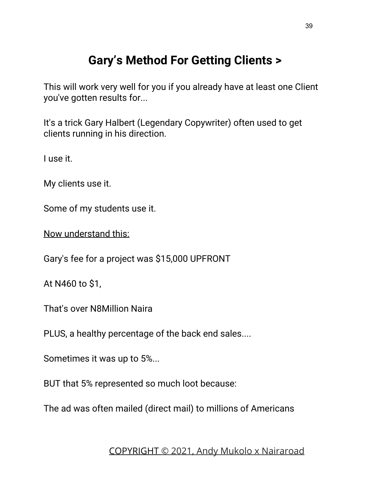### **Gary's Method For Getting Clients >**

This will work very well for you if you already have at least one Client you've gotten results for...

It's a trick Gary Halbert (Legendary Copywriter) often used to get clients running in his direction.

I use it.

My clients use it.

Some of my students use it.

Now understand this:

Gary's fee for a project was \$15,000 UPFRONT

At N460 to \$1,

That's over N8Million Naira

PLUS, a healthy percentage of the back end sales....

Sometimes it was up to 5%...

BUT that 5% represented so much loot because:

The ad was often mailed (direct mail) to millions of Americans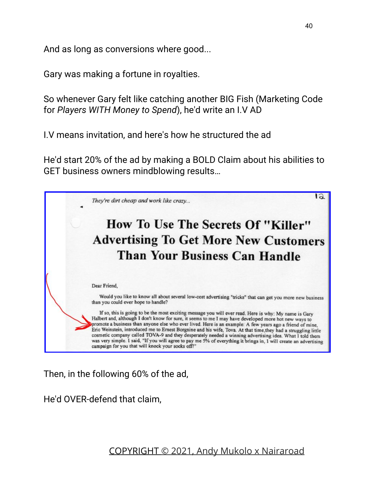And as long as conversions where good...

Gary was making a fortune in royalties.

So whenever Gary felt like catching another BIG Fish (Marketing Code for *Players WITH Money to Spend*), he'd write an I.V AD

I.V means invitation, and here's how he structured the ad

He'd start 20% of the ad by making a BOLD Claim about his abilities to GET business owners mindblowing results…



Then, in the following 60% of the ad,

He'd OVER-defend that claim,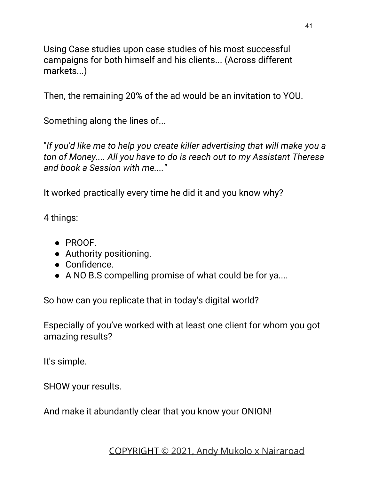Using Case studies upon case studies of his most successful campaigns for both himself and his clients... (Across different markets...)

Then, the remaining 20% of the ad would be an invitation to YOU.

Something along the lines of...

"*If you'd like me to help you create killer advertising that will make you a ton of Money.... All you have to do is reach out to my Assistant Theresa and book a Session with me...."*

It worked practically every time he did it and you know why?

4 things:

- PROOF.
- Authority positioning.
- Confidence.
- A NO B.S compelling promise of what could be for ya....

So how can you replicate that in today's digital world?

Especially of you've worked with at least one client for whom you got amazing results?

It's simple.

SHOW your results.

And make it abundantly clear that you know your ONION!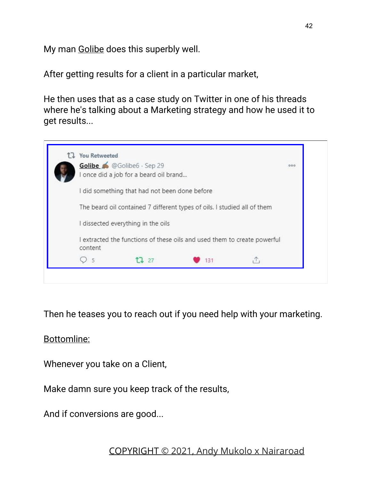My man **Golibe** does this superbly well.

After getting results for a client in a particular market,

He then uses that as a case study on Twitter in one of his threads where he's talking about a Marketing strategy and how he used it to get results...



Then he teases you to reach out if you need help with your marketing.

Bottomline:

Whenever you take on a Client,

Make damn sure you keep track of the results,

And if conversions are good...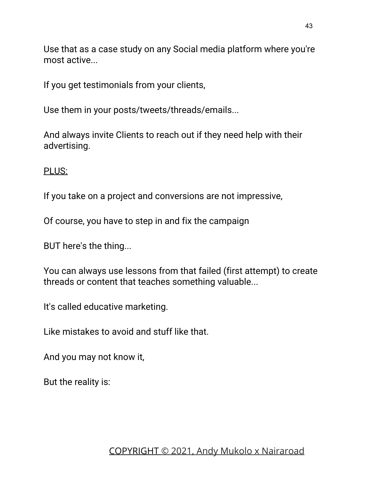Use that as a case study on any Social media platform where you're most active...

If you get testimonials from your clients,

Use them in your posts/tweets/threads/emails...

And always invite Clients to reach out if they need help with their advertising.

PLUS:

If you take on a project and conversions are not impressive,

Of course, you have to step in and fix the campaign

BUT here's the thing...

You can always use lessons from that failed (first attempt) to create threads or content that teaches something valuable...

It's called educative marketing.

Like mistakes to avoid and stuff like that.

And you may not know it,

But the reality is: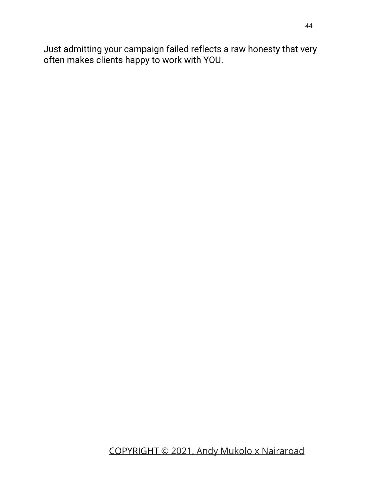Just admitting your campaign failed reflects a raw honesty that very often makes clients happy to work with YOU.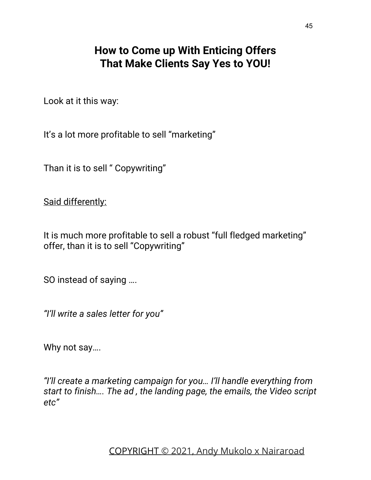### **How to Come up With Enticing Offers That Make Clients Say Yes to YOU!**

Look at it this way:

It's a lot more profitable to sell "marketing"

Than it is to sell " Copywriting"

Said differently:

It is much more profitable to sell a robust "full fledged marketing" offer, than it is to sell "Copywriting"

SO instead of saying ….

*"I'll write a sales letter for you"*

Why not say….

*"I'll create a marketing campaign for you… I'll handle everything from start to finish…. The ad , the landing page, the emails, the Video script etc"*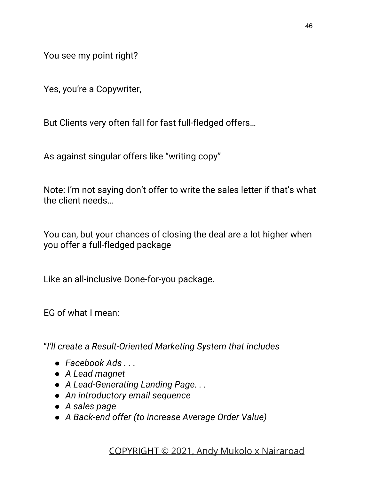You see my point right?

Yes, you're a Copywriter,

But Clients very often fall for fast full-fledged offers…

As against singular offers like "writing copy"

Note: I'm not saying don't offer to write the sales letter if that's what the client needs…

You can, but your chances of closing the deal are a lot higher when you offer a full-fledged package

Like an all-inclusive Done-for-you package.

EG of what I mean:

"*I'll create a Result-Oriented Marketing System that includes*

- *● Facebook Ads . . .*
- *● A Lead magnet*
- *● A Lead-Generating Landing Page. . .*
- *● An introductory email sequence*
- *● A sales page*
- *● A Back-end offer (to increase Average Order Value)*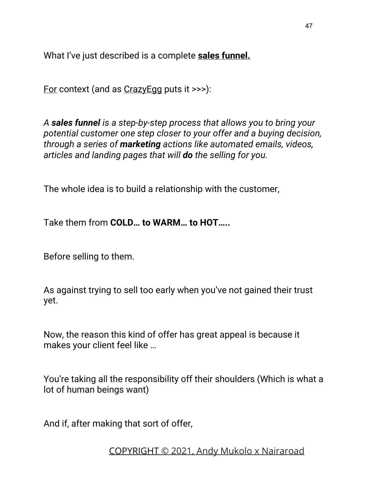What I've just described is a complete **sales funnel.**

For context (and as CrazyEgg puts it >>>):

*A sales funnel is a step-by-step process that allows you to bring your potential customer one step closer to your offer and a buying decision, through a series of marketing actions like automated emails, videos, articles and landing pages that will do the selling for you.*

The whole idea is to build a relationship with the customer,

Take them from **COLD… to WARM… to HOT…..**

Before selling to them.

As against trying to sell too early when you've not gained their trust yet.

Now, the reason this kind of offer has great appeal is because it makes your client feel like …

You're taking all the responsibility off their shoulders (Which is what a lot of human beings want)

And if, after making that sort of offer,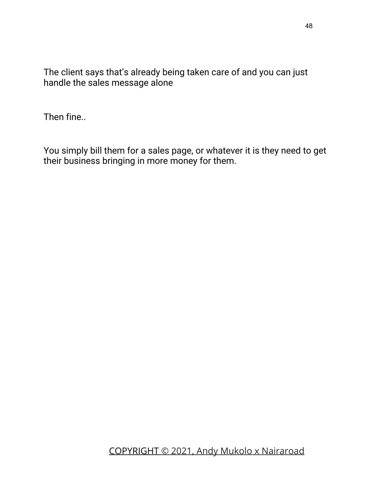The client says that's already being taken care of and you can just handle the sales message alone

Then fine..

You simply bill them for a sales page, or whatever it is they need to get their business bringing in more money for them.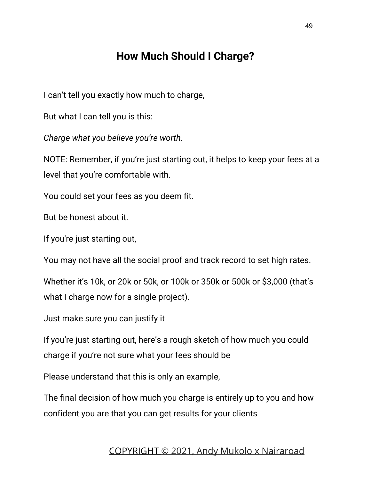### **How Much Should I Charge?**

I can't tell you exactly how much to charge,

But what I can tell you is this:

*Charge what you believe you're worth.*

NOTE: Remember, if you're just starting out, it helps to keep your fees at a level that you're comfortable with.

You could set your fees as you deem fit.

But be honest about it.

If you're just starting out,

You may not have all the social proof and track record to set high rates.

Whether it's 10k, or 20k or 50k, or 100k or 350k or 500k or \$3,000 (that's what I charge now for a single project).

Just make sure you can justify it

If you're just starting out, here's a rough sketch of how much you could charge if you're not sure what your fees should be

Please understand that this is only an example,

The final decision of how much you charge is entirely up to you and how confident you are that you can get results for your clients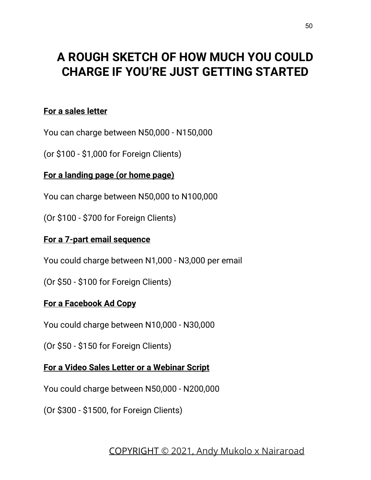### **A ROUGH SKETCH OF HOW MUCH YOU COULD CHARGE IF YOU'RE JUST GETTING STARTED**

#### **For a sales letter**

You can charge between N50,000 - N150,000

(or \$100 - \$1,000 for Foreign Clients)

#### **For a landing page (or home page)**

You can charge between N50,000 to N100,000

(Or \$100 - \$700 for Foreign Clients)

#### **For a 7-part email sequence**

You could charge between N1,000 - N3,000 per email

(Or \$50 - \$100 for Foreign Clients)

#### **For a Facebook Ad Copy**

You could charge between N10,000 - N30,000

(Or \$50 - \$150 for Foreign Clients)

#### **For a Video Sales Letter or a Webinar Script**

You could charge between N50,000 - N200,000

(Or \$300 - \$1500, for Foreign Clients)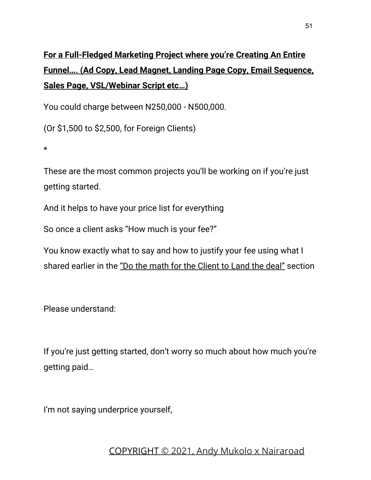### **For a Full-Fledged Marketing Project where you're Creating An Entire Funnel…. (Ad Copy, Lead Magnet, Landing Page Copy, Email Sequence, Sales Page, VSL/Webinar Script etc…)**

You could charge between N250,000 - N500,000.

(Or \$1,500 to \$2,500, for Foreign Clients)

\*

These are the most common projects you'll be working on if you're just getting started.

And it helps to have your price list for everything

So once a client asks "How much is your fee?"

You know exactly what to say and how to justify your fee using what I shared earlier in the "Do the math for the Client to Land the deal" section

Please understand:

If you're just getting started, don't worry so much about how much you're getting paid…

I'm not saying underprice yourself,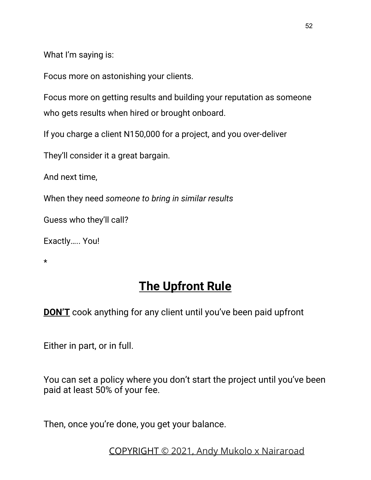What I'm saying is:

Focus more on astonishing your clients.

Focus more on getting results and building your reputation as someone who gets results when hired or brought onboard.

If you charge a client N150,000 for a project, and you over-deliver

They'll consider it a great bargain.

And next time,

When they need *someone to bring in similar results*

Guess who they'll call?

Exactly….. You!

\*

### **The Upfront Rule**

**DON'T** cook anything for any client until you've been paid upfront

Either in part, or in full.

You can set a policy where you don't start the project until you've been paid at least 50% of your fee.

Then, once you're done, you get your balance.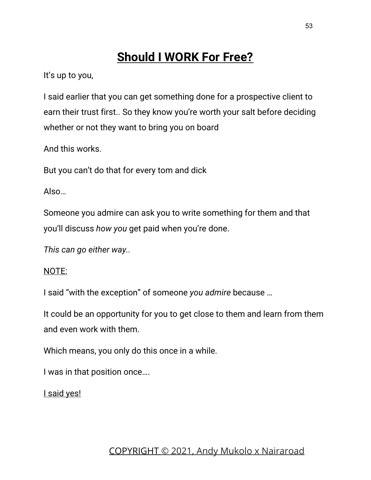### **Should I WORK For Free?**

It's up to you,

I said earlier that you can get something done for a prospective client to earn their trust first.. So they know you're worth your salt before deciding whether or not they want to bring you on board

And this works.

But you can't do that for every tom and dick

Also…

Someone you admire can ask you to write something for them and that you'll discuss *how you* get paid when you're done.

*This can go either way..*

#### NOTE:

I said "with the exception" of someone *you admire* because …

It could be an opportunity for you to get close to them and learn from them and even work with them.

Which means, you only do this once in a while.

I was in that position once….

I said yes!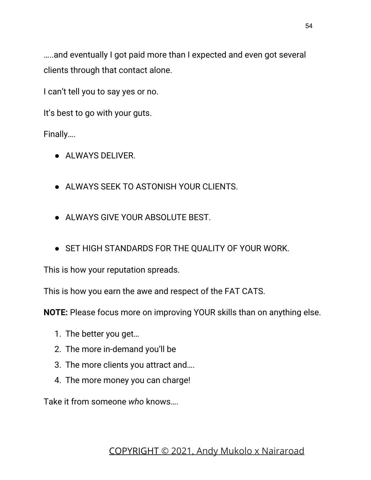…..and eventually I got paid more than I expected and even got several clients through that contact alone.

I can't tell you to say yes or no.

It's best to go with your guts.

Finally….

- ALWAYS DELIVER.
- ALWAYS SEEK TO ASTONISH YOUR CLIENTS.
- ALWAYS GIVE YOUR ABSOLUTE BEST.
- SET HIGH STANDARDS FOR THE QUALITY OF YOUR WORK.

This is how your reputation spreads.

This is how you earn the awe and respect of the FAT CATS.

**NOTE:** Please focus more on improving YOUR skills than on anything else.

- 1. The better you get…
- 2. The more in-demand you'll be
- 3. The more clients you attract and….
- 4. The more money you can charge!

Take it from someone *who* knows….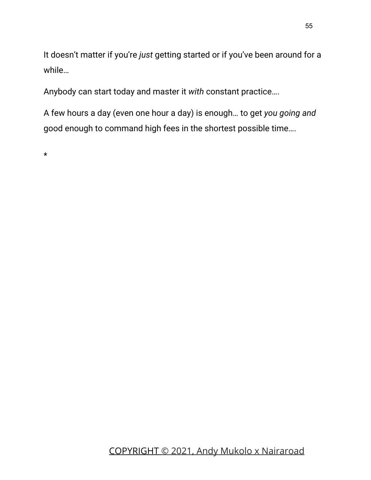It doesn't matter if you're *just* getting started or if you've been around for a while…

Anybody can start today and master it *with* constant practice….

A few hours a day (even one hour a day) is enough… to get *you going and* good enough to command high fees in the shortest possible time….

\*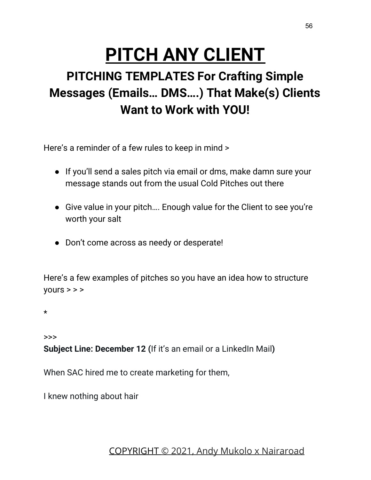# **PITCH ANY CLIENT**

## **PITCHING TEMPLATES For Crafting Simple Messages (Emails… DMS….) That Make(s) Clients Want to Work with YOU!**

Here's a reminder of a few rules to keep in mind >

- If you'll send a sales pitch via email or dms, make damn sure your message stands out from the usual Cold Pitches out there
- Give value in your pitch…. Enough value for the Client to see you're worth your salt
- Don't come across as needy or desperate!

Here's a few examples of pitches so you have an idea how to structure  $yours$  > > >

\*

>>>

**Subject Line: December 12 (**If it's an email or a LinkedIn Mail**)**

When SAC hired me to create marketing for them,

I knew nothing about hair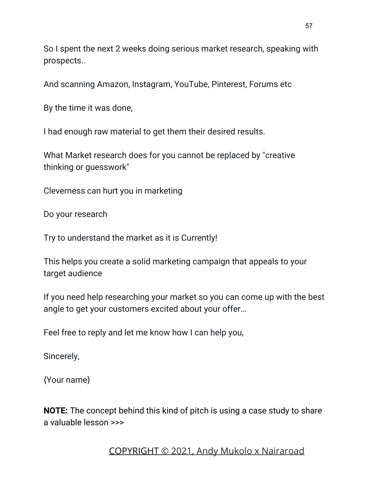So I spent the next 2 weeks doing serious market research, speaking with prospects..

And scanning Amazon, Instagram, YouTube, Pinterest, Forums etc

By the time it was done,

I had enough raw material to get them their desired results.

What Market research does for you cannot be replaced by "creative thinking or guesswork"

Cleverness can hurt you in marketing

Do your research

Try to understand the market as it is Currently!

This helps you create a solid marketing campaign that appeals to your target audience

If you need help researching your market so you can come up with the best angle to get your customers excited about your offer…

Feel free to reply and let me know how I can help you,

Sincerely,

{Your name}

**NOTE:** The concept behind this kind of pitch is using a case study to share a valuable lesson >>>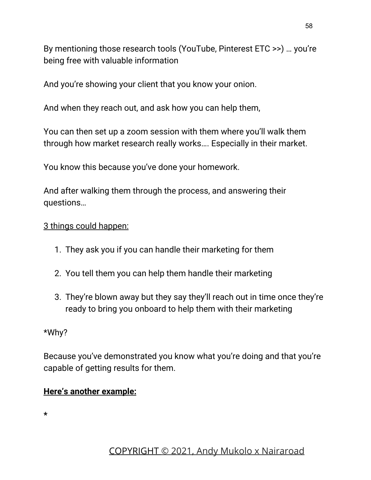By mentioning those research tools (YouTube, Pinterest ETC >>) … you're being free with valuable information

And you're showing your client that you know your onion.

And when they reach out, and ask how you can help them,

You can then set up a zoom session with them where you'll walk them through how market research really works…. Especially in their market.

You know this because you've done your homework.

And after walking them through the process, and answering their questions…

#### 3 things could happen:

- 1. They ask you if you can handle their marketing for them
- 2. You tell them you can help them handle their marketing
- 3. They're blown away but they say they'll reach out in time once they're ready to bring you onboard to help them with their marketing

#### \*Why?

Because you've demonstrated you know what you're doing and that you're capable of getting results for them.

#### **Here's another example:**

**\***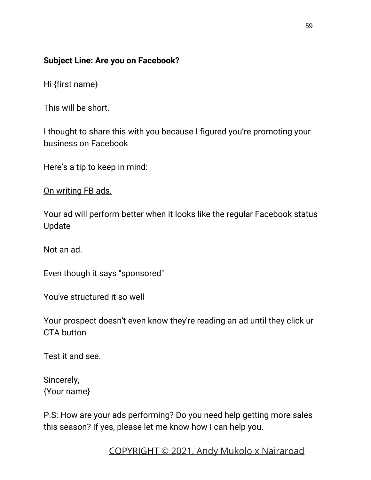#### **Subject Line: Are you on Facebook?**

Hi {first name}

This will be short.

I thought to share this with you because I figured you're promoting your business on Facebook

Here's a tip to keep in mind:

On writing FB ads.

Your ad will perform better when it looks like the regular Facebook status Update

Not an ad.

Even though it says "sponsored"

You've structured it so well

Your prospect doesn't even know they're reading an ad until they click ur CTA button

Test it and see.

Sincerely, {Your name}

P.S: How are your ads performing? Do you need help getting more sales this season? If yes, please let me know how I can help you.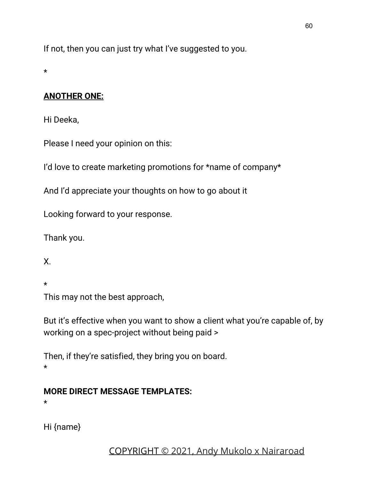If not, then you can just try what I've suggested to you.

\*

#### **ANOTHER ONE:**

Hi Deeka,

Please I need your opinion on this:

I'd love to create marketing promotions for \*name of company\*

And I'd appreciate your thoughts on how to go about it

Looking forward to your response.

Thank you.

X.

\*

This may not the best approach,

But it's effective when you want to show a client what you're capable of, by working on a spec-project without being paid >

Then, if they're satisfied, they bring you on board. \*

#### **MORE DIRECT MESSAGE TEMPLATES:**

\*

Hi {name}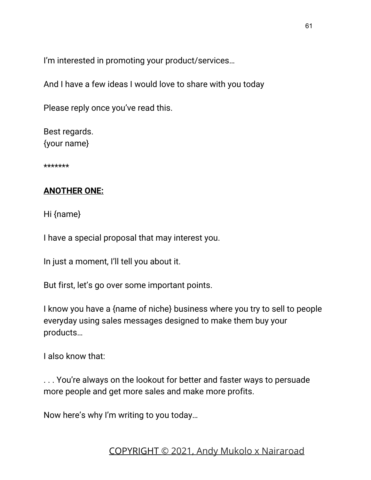I'm interested in promoting your product/services…

And I have a few ideas I would love to share with you today

Please reply once you've read this.

Best regards. {your name}

\*\*\*\*\*\*\*

#### **ANOTHER ONE:**

Hi {name}

I have a special proposal that may interest you.

In just a moment, I'll tell you about it.

But first, let's go over some important points.

I know you have a {name of niche} business where you try to sell to people everyday using sales messages designed to make them buy your products…

I also know that:

. . . You're always on the lookout for better and faster ways to persuade more people and get more sales and make more profits.

Now here's why I'm writing to you today…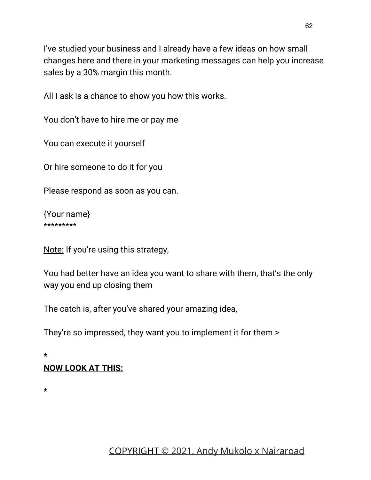I've studied your business and I already have a few ideas on how small changes here and there in your marketing messages can help you increase sales by a 30% margin this month.

All I ask is a chance to show you how this works.

You don't have to hire me or pay me

You can execute it yourself

Or hire someone to do it for you

Please respond as soon as you can.

{Your name} \*\*\*\*\*\*\*\*\*

Note: If you're using this strategy,

You had better have an idea you want to share with them, that's the only way you end up closing them

The catch is, after you've shared your amazing idea,

They're so impressed, they want you to implement it for them >

**\* NOW LOOK AT THIS:**

\*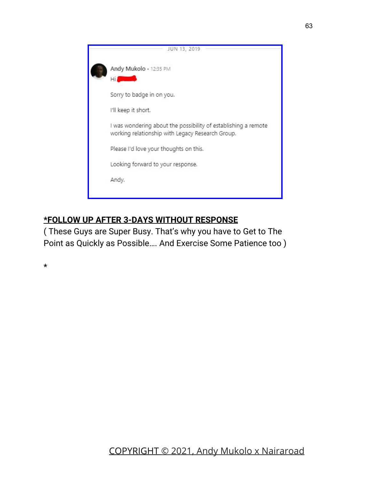|  | JUN 13, 2019                                                                                                       |
|--|--------------------------------------------------------------------------------------------------------------------|
|  | Andy Mukolo · 12:35 PM<br>Hil                                                                                      |
|  | Sorry to badge in on you.                                                                                          |
|  | I'll keep it short.                                                                                                |
|  | I was wondering about the possibility of establishing a remote<br>working relationship with Legacy Research Group. |
|  | Please I'd love your thoughts on this.                                                                             |
|  | Looking forward to your response.                                                                                  |
|  | Andy.                                                                                                              |
|  |                                                                                                                    |

#### **\*FOLLOW UP AFTER 3-DAYS WITHOUT RESPONSE**

( These Guys are Super Busy. That's why you have to Get to The Point as Quickly as Possible…. And Exercise Some Patience too )

\*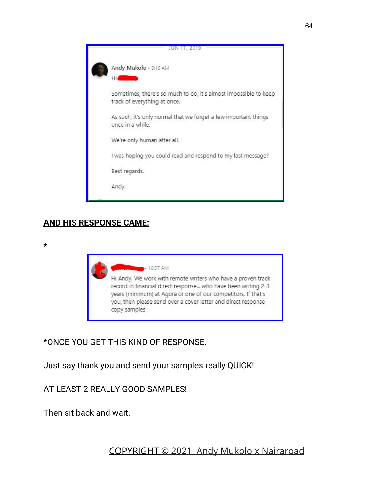|  | JUN 17, 2019                                                                                     |  |
|--|--------------------------------------------------------------------------------------------------|--|
|  | Andy Mukolo · 9:16 AM<br>Hi                                                                      |  |
|  | Sometimes, there's so much to do, it's almost impossible to keep<br>track of everything at once. |  |
|  | As such, it's only normal that we forget a few important things<br>once in a while.              |  |
|  | We're only human after all.                                                                      |  |
|  | I was hoping you could read and respond to my last message?                                      |  |
|  | Best regards.                                                                                    |  |
|  | Andy.                                                                                            |  |
|  |                                                                                                  |  |

#### **AND HIS RESPONSE CAME:**

\*



\*ONCE YOU GET THIS KIND OF RESPONSE.

Just say thank you and send your samples really QUICK!

AT LEAST 2 REALLY GOOD SAMPLES!

Then sit back and wait.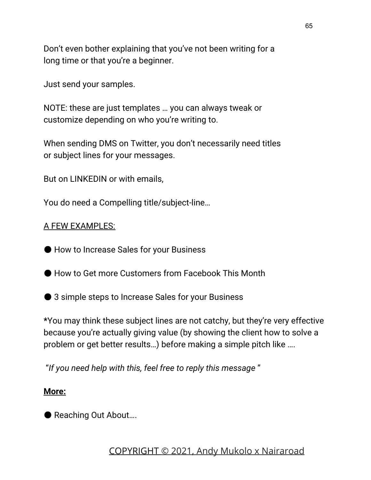Don't even bother explaining that you've not been writing for a long time or that you're a beginner.

Just send your samples.

NOTE: these are just templates … you can always tweak or customize depending on who you're writing to.

When sending DMS on Twitter, you don't necessarily need titles or subject lines for your messages.

But on LINKEDIN or with emails,

You do need a Compelling title/subject-line…

#### A FEW EXAMPLES:

● How to Increase Sales for your Business

- How to Get more Customers from Facebook This Month
- 3 simple steps to Increase Sales for your Business

**\***You may think these subject lines are not catchy, but they're very effective because you're actually giving value (by showing the client how to solve a problem or get better results…) before making a simple pitch like ….

"*If you need help with this, feel free to reply this message* "

#### **More:**

● Reaching Out About....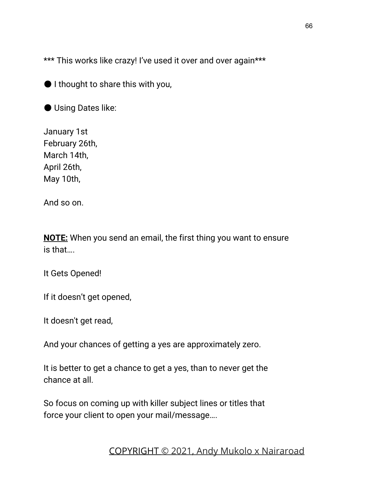\*\*\* This works like crazy! I've used it over and over again\*\*\*

● I thought to share this with you,

● Using Dates like:

January 1st February 26th, March 14th, April 26th, May 10th,

And so on.

**NOTE:** When you send an email, the first thing you want to ensure is that….

It Gets Opened!

If it doesn't get opened,

It doesn't get read,

And your chances of getting a yes are approximately zero.

It is better to get a chance to get a yes, than to never get the chance at all.

So focus on coming up with killer subject lines or titles that force your client to open your mail/message….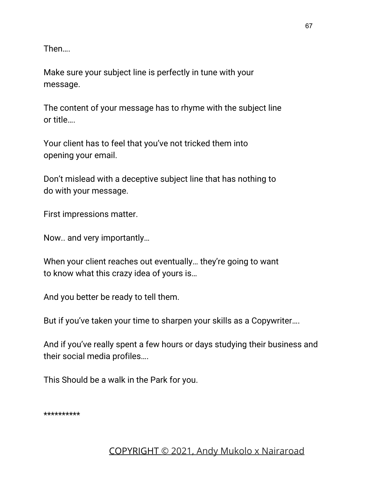Then….

Make sure your subject line is perfectly in tune with your message.

The content of your message has to rhyme with the subject line or title….

Your client has to feel that you've not tricked them into opening your email.

Don't mislead with a deceptive subject line that has nothing to do with your message.

First impressions matter.

Now.. and very importantly…

When your client reaches out eventually… they're going to want to know what this crazy idea of yours is…

And you better be ready to tell them.

But if you've taken your time to sharpen your skills as a Copywriter….

And if you've really spent a few hours or days studying their business and their social media profiles….

This Should be a walk in the Park for you.

\*\*\*\*\*\*\*\*\*\*